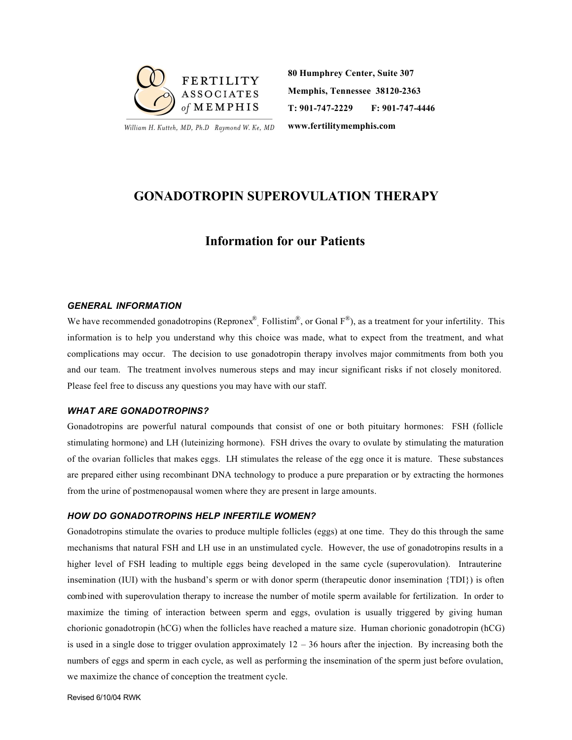

William H. Kutteh, MD, Ph.D Raymond W. Ke, MD

**80 Humphrey Center, Suite 307 Memphis, Tennessee 38120-2363 T: 901-747-2229 F: 901-747-4446**

**www.fertilitymemphis.com**

# **GONADOTROPIN SUPEROVULATION THERAPY**

# **Information for our Patients**

## *GENERAL INFORMATION*

We have recommended gonadotropins (Repronex<sup>®</sup>, Follistim<sup>®</sup>, or Gonal F<sup>®</sup>), as a treatment for your infertility. This information is to help you understand why this choice was made, what to expect from the treatment, and what complications may occur. The decision to use gonadotropin therapy involves major commitments from both you and our team. The treatment involves numerous steps and may incur significant risks if not closely monitored. Please feel free to discuss any questions you may have with our staff.

### *WHAT ARE GONADOTROPINS?*

Gonadotropins are powerful natural compounds that consist of one or both pituitary hormones: FSH (follicle stimulating hormone) and LH (luteinizing hormone). FSH drives the ovary to ovulate by stimulating the maturation of the ovarian follicles that makes eggs. LH stimulates the release of the egg once it is mature. These substances are prepared either using recombinant DNA technology to produce a pure preparation or by extracting the hormones from the urine of postmenopausal women where they are present in large amounts.

#### *HOW DO GONADOTROPINS HELP INFERTILE WOMEN?*

Gonadotropins stimulate the ovaries to produce multiple follicles (eggs) at one time. They do this through the same mechanisms that natural FSH and LH use in an unstimulated cycle. However, the use of gonadotropins results in a higher level of FSH leading to multiple eggs being developed in the same cycle (superovulation). Intrauterine insemination (IUI) with the husband's sperm or with donor sperm (therapeutic donor insemination {TDI}) is often combined with superovulation therapy to increase the number of motile sperm available for fertilization. In order to maximize the timing of interaction between sperm and eggs, ovulation is usually triggered by giving human chorionic gonadotropin (hCG) when the follicles have reached a mature size. Human chorionic gonadotropin (hCG) is used in a single dose to trigger ovulation approximately  $12 - 36$  hours after the injection. By increasing both the numbers of eggs and sperm in each cycle, as well as performing the insemination of the sperm just before ovulation, we maximize the chance of conception the treatment cycle.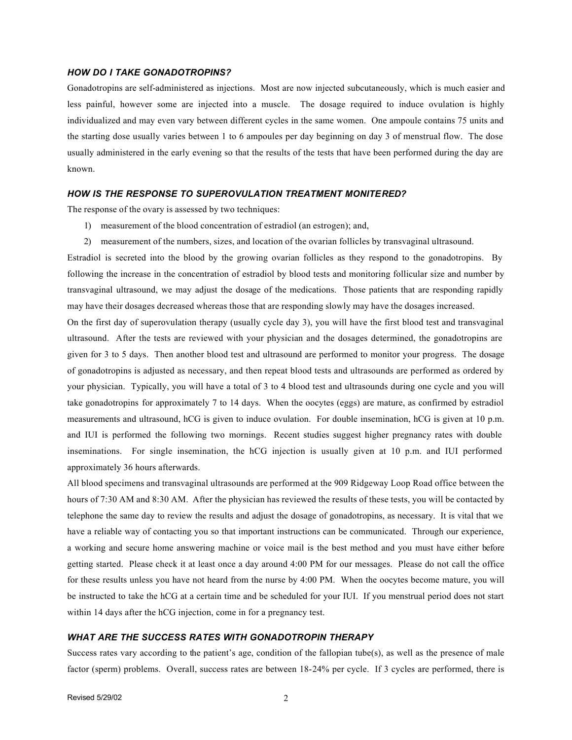## *HOW DO I TAKE GONADOTROPINS?*

Gonadotropins are self-administered as injections. Most are now injected subcutaneously, which is much easier and less painful, however some are injected into a muscle. The dosage required to induce ovulation is highly individualized and may even vary between different cycles in the same women. One ampoule contains 75 units and the starting dose usually varies between 1 to 6 ampoules per day beginning on day 3 of menstrual flow. The dose usually administered in the early evening so that the results of the tests that have been performed during the day are known.

## *HOW IS THE RESPONSE TO SUPEROVULATION TREATMENT MONITERED?*

The response of the ovary is assessed by two techniques:

- 1) measurement of the blood concentration of estradiol (an estrogen); and,
- 2) measurement of the numbers, sizes, and location of the ovarian follicles by transvaginal ultrasound.

Estradiol is secreted into the blood by the growing ovarian follicles as they respond to the gonadotropins. By following the increase in the concentration of estradiol by blood tests and monitoring follicular size and number by transvaginal ultrasound, we may adjust the dosage of the medications. Those patients that are responding rapidly may have their dosages decreased whereas those that are responding slowly may have the dosages increased.

On the first day of superovulation therapy (usually cycle day 3), you will have the first blood test and transvaginal ultrasound. After the tests are reviewed with your physician and the dosages determined, the gonadotropins are given for 3 to 5 days. Then another blood test and ultrasound are performed to monitor your progress. The dosage of gonadotropins is adjusted as necessary, and then repeat blood tests and ultrasounds are performed as ordered by your physician. Typically, you will have a total of 3 to 4 blood test and ultrasounds during one cycle and you will take gonadotropins for approximately 7 to 14 days. When the oocytes (eggs) are mature, as confirmed by estradiol measurements and ultrasound, hCG is given to induce ovulation. For double insemination, hCG is given at 10 p.m. and IUI is performed the following two mornings. Recent studies suggest higher pregnancy rates with double inseminations. For single insemination, the hCG injection is usually given at 10 p.m. and IUI performed approximately 36 hours afterwards.

All blood specimens and transvaginal ultrasounds are performed at the 909 Ridgeway Loop Road office between the hours of 7:30 AM and 8:30 AM. After the physician has reviewed the results of these tests, you will be contacted by telephone the same day to review the results and adjust the dosage of gonadotropins, as necessary. It is vital that we have a reliable way of contacting you so that important instructions can be communicated. Through our experience, a working and secure home answering machine or voice mail is the best method and you must have either before getting started. Please check it at least once a day around 4:00 PM for our messages. Please do not call the office for these results unless you have not heard from the nurse by 4:00 PM. When the oocytes become mature, you will be instructed to take the hCG at a certain time and be scheduled for your IUI. If you menstrual period does not start within 14 days after the hCG injection, come in for a pregnancy test.

#### *WHAT ARE THE SUCCESS RATES WITH GONADOTROPIN THERAPY*

Success rates vary according to the patient's age, condition of the fallopian tube(s), as well as the presence of male factor (sperm) problems. Overall, success rates are between 18-24% per cycle. If 3 cycles are performed, there is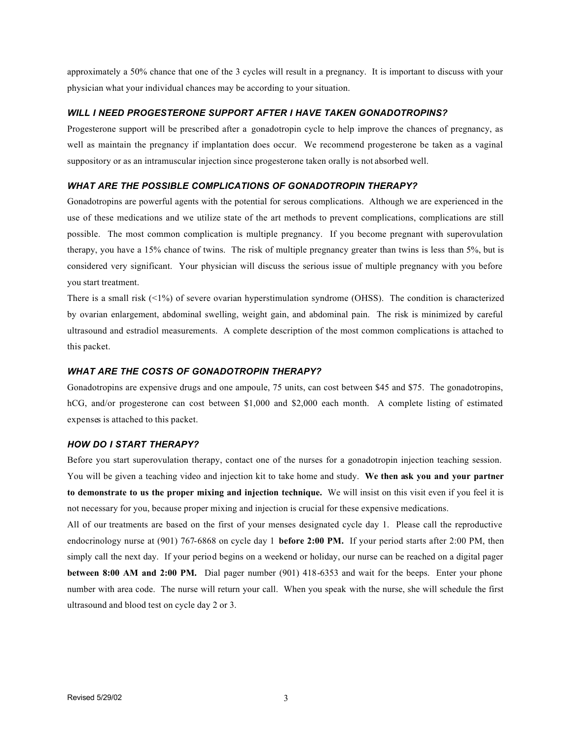approximately a 50% chance that one of the 3 cycles will result in a pregnancy. It is important to discuss with your physician what your individual chances may be according to your situation.

## *WILL I NEED PROGESTERONE SUPPORT AFTER I HAVE TAKEN GONADOTROPINS?*

Progesterone support will be prescribed after a gonadotropin cycle to help improve the chances of pregnancy, as well as maintain the pregnancy if implantation does occur. We recommend progesterone be taken as a vaginal suppository or as an intramuscular injection since progesterone taken orally is not absorbed well.

## *WHAT ARE THE POSSIBLE COMPLICATIONS OF GONADOTROPIN THERAPY?*

Gonadotropins are powerful agents with the potential for serous complications. Although we are experienced in the use of these medications and we utilize state of the art methods to prevent complications, complications are still possible. The most common complication is multiple pregnancy. If you become pregnant with superovulation therapy, you have a 15% chance of twins. The risk of multiple pregnancy greater than twins is less than 5%, but is considered very significant. Your physician will discuss the serious issue of multiple pregnancy with you before you start treatment.

There is a small risk  $\left(\langle 1\% \right)$  of severe ovarian hyperstimulation syndrome (OHSS). The condition is characterized by ovarian enlargement, abdominal swelling, weight gain, and abdominal pain. The risk is minimized by careful ultrasound and estradiol measurements. A complete description of the most common complications is attached to this packet.

## *WHAT ARE THE COSTS OF GONADOTROPIN THERAPY?*

Gonadotropins are expensive drugs and one ampoule, 75 units, can cost between \$45 and \$75. The gonadotropins, hCG, and/or progesterone can cost between \$1,000 and \$2,000 each month. A complete listing of estimated expenses is attached to this packet.

#### *HOW DO I START THERAPY?*

Before you start superovulation therapy, contact one of the nurses for a gonadotropin injection teaching session. You will be given a teaching video and injection kit to take home and study. **We then ask you and your partner to demonstrate to us the proper mixing and injection technique.** We will insist on this visit even if you feel it is not necessary for you, because proper mixing and injection is crucial for these expensive medications.

All of our treatments are based on the first of your menses designated cycle day 1. Please call the reproductive endocrinology nurse at (901) 767-6868 on cycle day 1 **before 2:00 PM.** If your period starts after 2:00 PM, then simply call the next day. If your period begins on a weekend or holiday, our nurse can be reached on a digital pager **between 8:00 AM and 2:00 PM.** Dial pager number (901) 418-6353 and wait for the beeps. Enter your phone number with area code. The nurse will return your call. When you speak with the nurse, she will schedule the first ultrasound and blood test on cycle day 2 or 3.